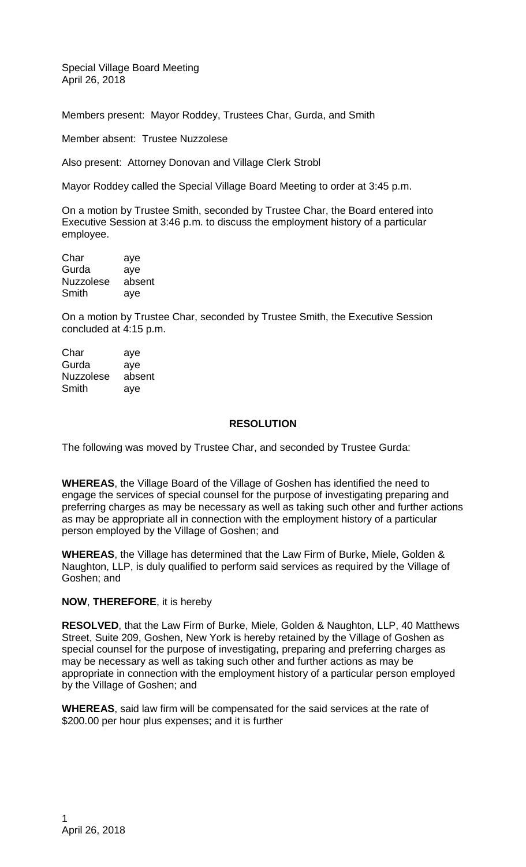Special Village Board Meeting April 26, 2018

Members present: Mayor Roddey, Trustees Char, Gurda, and Smith

Member absent: Trustee Nuzzolese

Also present: Attorney Donovan and Village Clerk Strobl

Mayor Roddey called the Special Village Board Meeting to order at 3:45 p.m.

On a motion by Trustee Smith, seconded by Trustee Char, the Board entered into Executive Session at 3:46 p.m. to discuss the employment history of a particular employee.

Char aye Gurda aye Nuzzolese absent Smith aye

On a motion by Trustee Char, seconded by Trustee Smith, the Executive Session concluded at 4:15 p.m.

| Char             | aye    |
|------------------|--------|
| Gurda            | aye    |
| <b>Nuzzolese</b> | absent |
| Smith            | aye    |

## **RESOLUTION**

The following was moved by Trustee Char, and seconded by Trustee Gurda:

**WHEREAS**, the Village Board of the Village of Goshen has identified the need to engage the services of special counsel for the purpose of investigating preparing and preferring charges as may be necessary as well as taking such other and further actions as may be appropriate all in connection with the employment history of a particular person employed by the Village of Goshen; and

**WHEREAS**, the Village has determined that the Law Firm of Burke, Miele, Golden & Naughton, LLP, is duly qualified to perform said services as required by the Village of Goshen; and

## **NOW**, **THEREFORE**, it is hereby

**RESOLVED**, that the Law Firm of Burke, Miele, Golden & Naughton, LLP, 40 Matthews Street, Suite 209, Goshen, New York is hereby retained by the Village of Goshen as special counsel for the purpose of investigating, preparing and preferring charges as may be necessary as well as taking such other and further actions as may be appropriate in connection with the employment history of a particular person employed by the Village of Goshen; and

**WHEREAS**, said law firm will be compensated for the said services at the rate of \$200.00 per hour plus expenses; and it is further